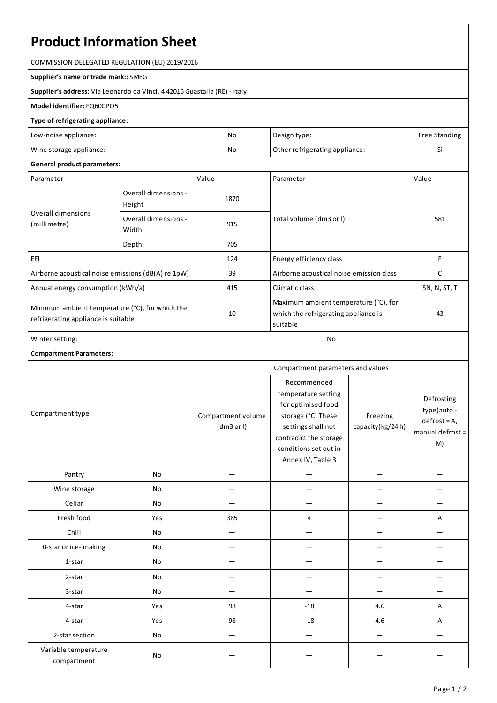# **Product Information Sheet**

COMMISSION DELEGATED REGULATION (EU) 2019/2016

#### **Supplier's name or trade mark::**SMEG

**Supplier's address:** ViaLeonardo da Vinci, 4 42016 Guastalla(RE) - Italy

### **Model identifier:**FQ60CPO5

#### **Type of refrigerating appliance:**

| Low-noise appliance:    | No | Design type:                   | Free Standing |
|-------------------------|----|--------------------------------|---------------|
| Wine storage appliance: | No | Other refrigerating appliance: |               |

## **General product parameters:**

| Parameter                                                                              |                                | Value | Parameter                                                                                 | Value        |
|----------------------------------------------------------------------------------------|--------------------------------|-------|-------------------------------------------------------------------------------------------|--------------|
| Overall dimensions<br>(millimetre)                                                     | Overall dimensions -<br>Height | 1870  |                                                                                           | 581          |
|                                                                                        | Overall dimensions -<br>Width  | 915   | Total volume (dm3 or I)                                                                   |              |
|                                                                                        | Depth                          | 705   |                                                                                           |              |
| EEI                                                                                    |                                | 124   | Energy efficiency class                                                                   | F            |
| Airborne acoustical noise emissions (dB(A) re 1pW)                                     |                                | 39    | Airborne acoustical noise emission class                                                  |              |
| Annual energy consumption (kWh/a)                                                      |                                | 415   | Climatic class                                                                            | SN, N, ST, T |
| Minimum ambient temperature (°C), for which the<br>refrigerating appliance is suitable |                                | 10    | Maximum ambient temperature (°C), for<br>which the refrigerating appliance is<br>suitable | 43           |
| Winter setting:                                                                        |                                | No    |                                                                                           |              |

## **Compartment Parameters:**

| Compartment type                    |           | Compartment parameters and values |                                                                                                                                                                              |                              |                                                                       |
|-------------------------------------|-----------|-----------------------------------|------------------------------------------------------------------------------------------------------------------------------------------------------------------------------|------------------------------|-----------------------------------------------------------------------|
|                                     |           | Compartment volume<br>(dm3 or l)  | Recommended<br>temperature setting<br>for optimised food<br>storage (°C) These<br>settings shall not<br>contradict the storage<br>conditions set out in<br>Annex IV, Table 3 | Freezing<br>capacity(kg/24h) | Defrosting<br>type(auto -<br>$defrost = A,$<br>manual defrost =<br>M) |
| Pantry                              | No        |                                   |                                                                                                                                                                              |                              |                                                                       |
| Wine storage                        | No        |                                   |                                                                                                                                                                              |                              |                                                                       |
| Cellar                              | No        |                                   |                                                                                                                                                                              |                              |                                                                       |
| Fresh food                          | Yes       | 385                               | 4                                                                                                                                                                            |                              | Α                                                                     |
| Chill                               | <b>No</b> |                                   |                                                                                                                                                                              |                              |                                                                       |
| 0-star or ice-making                | No        |                                   |                                                                                                                                                                              |                              |                                                                       |
| 1-star                              | No        |                                   |                                                                                                                                                                              |                              |                                                                       |
| 2-star                              | No        |                                   |                                                                                                                                                                              |                              |                                                                       |
| 3-star                              | No        |                                   |                                                                                                                                                                              |                              |                                                                       |
| 4-star                              | Yes       | 98                                | $-18$                                                                                                                                                                        | 4.6                          | Α                                                                     |
| 4-star                              | Yes       | 98                                | $-18$                                                                                                                                                                        | 4.6                          | Α                                                                     |
| 2-star section                      | No        |                                   |                                                                                                                                                                              |                              |                                                                       |
| Variable temperature<br>compartment | No        |                                   |                                                                                                                                                                              |                              |                                                                       |